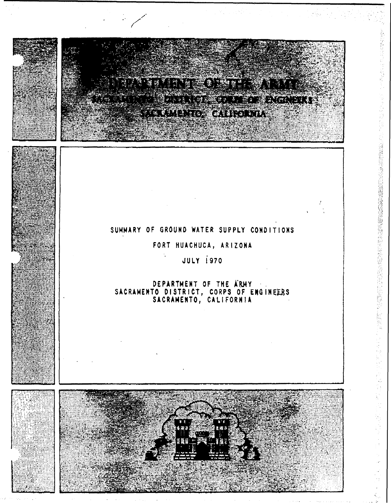

'0'

.'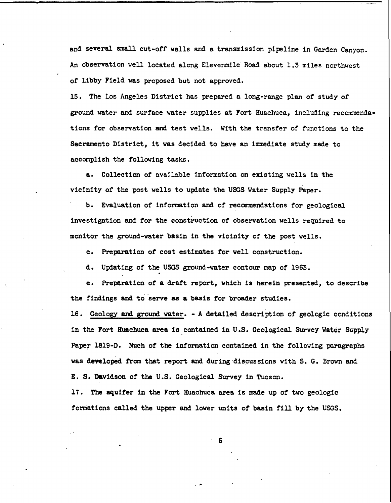and several small cut-ott walls and a transmission pipeline in Garden Canyon. An observation well located along Elevenmile Road about 1.3 miles northwest of Libby Field was proposed but not approved.

15. The Los Angeles District has prepared a long-range plan of study of ground water and surface water supplies at Fort Huachuca, including recommendations tor observation and test wells. With the transfer of functions to the Sacramento District, it was decided to have an immediate study made to accomplish the folloving tasks.

a. Collection of available information on existing wells in the vicinity of the post wells to update the USGS Water Supply paper.

b. Evaluation of information and of recanmendations for geological. investigation and for the construction of observation wells required to monitor the ground-vater basin in the vicinity of the post wells.

c. Preparation of cost estimates for well construction.

d. Updating of the USGS ground-water contour map of 1963.

e. Preparation of a draft report, which is herein presented, to describe the findings and to 'serve- as a basis for broader studies.

16. Geology and ground water. - A detailed description of geologic conditions in the Fort Huachuca area is contained in U.S. Geological Survey Water Supply Paper 1819-D. Much of the infonnation contained in the following paragraphs was developed from that report and during discussions with S. G. Brown and E. S. Davidson of the U.S. Geological. Survey in Tucson.

17. The aquifer in the Fort Huachuca area is made up of two geologic formations called the upper and lower units of basin fill by the USGS.

- 6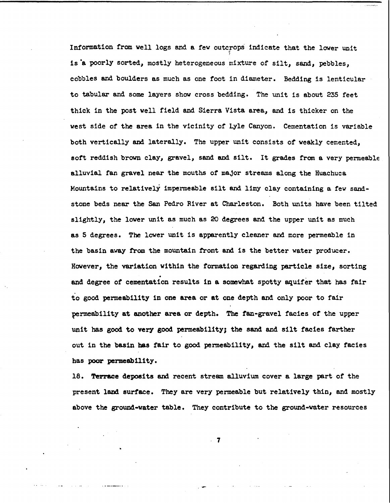Information from well logs and a few outcrops indicate that the lower unit is °a poorly sorted, mostly heterogeneous mixture of silt, sand, pebbles, cobbles and boulders as much as one foot in diameter. Bedding is lenticular to tabular and some layers show cross bedding. The unit is about 235 feet thick in the post vell field and Sierra Vista area, and is thicker on the west side of the area in the vicinity of Lyle Canyon. Cementation is variable both vertically and laterally. The upper unit consists of veakly cemented, soft reddish brown clay, gravel, sand and silt. It grades from a very penneable alluvial fan gravel near the mouths of major streams along the Huachuca Mountains to relatively impenneable silt and limy clay containing a fev sandstone beds near the San Pedro River at Charleston. Both units have been tilted slightly, the lover unit as much as 20 degrees and the upper unit as much as 5 degrees. The lover unit is apparently cleaner and more permeable in the basin away from the mountain front and is the better water producer. However, the variation vithin the formation regarding particle size, sorting . and degree of cementation results in a somevhat spotty aquifer that has fair to good permeability in one area or at one depth and only poor to fair permeability at another area or depth. The fan-gravel facies of the upper unit has good to very good permeabil1ty; the sand and silt facies farther out in the basin has fair to good permeability, and the silt and clay facies has poor permeability.

18. Terrace deposits and recent stream alluvium cover a large part of the present land surface. They are very permeable but relatively thin, and mostly above the ground-vater table. They contribute to the ground-vater resources

. 7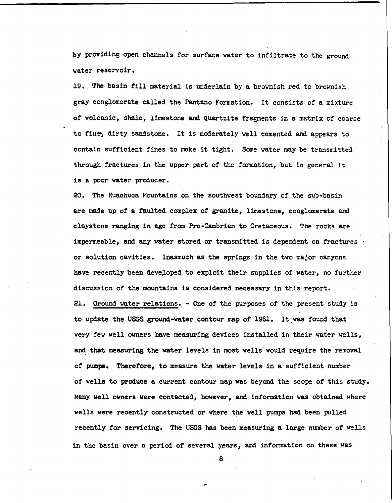by providing open channels for surface water to infiltrate to the ground water reservoir.

19. The basin fill material is underlain by a brownish red to brownish gray conglomerate called the Pantano Formation. It consists of a mixture of volcanic, shale, limestone and quartzite fragments in a matrix of coarse to fine, dirty sandstone. It is moderately well cemented and appears to contain sufficient fines to make it tight. Some water may be transmitted through fractures in the upper part of the formation, but in general it is a poor Yater producer.

20. The Huachuca Mountains on the southwest boundary of the sub-basin are made up of a faulted complex of granite, limestone, conglomerate and claystone ranging in age from Pre-Cambrian to Cretaceous. The rocks are impermeable, and any water stored or transmitted 1s dependent on fractures . or solution cavities. Inasmuch as the springs in the two major canyons have recently been developed to exploit their supplies of water, no further discussion of the mountains is considered necessary in this report.

21. Ground water relations. - One of the purposes of the present study 1s to update the USGS ground-water contour map of 1961. It was found that very few well owners have measuring devices installed in their water wells, and that measuring the water levels in most wells would require the removal of pumps. Therefore, to measure the yater levels in a sufficient number of wella to produce a current contour map was beyond. the scope of this study. Many well owners were contacted, however, and information was obtained where wells were recently constructed or where the well pumps had been pulled recently for servicing. The USGS has been measuring a large number of wells in the basin over a period of several years, and information on these was

e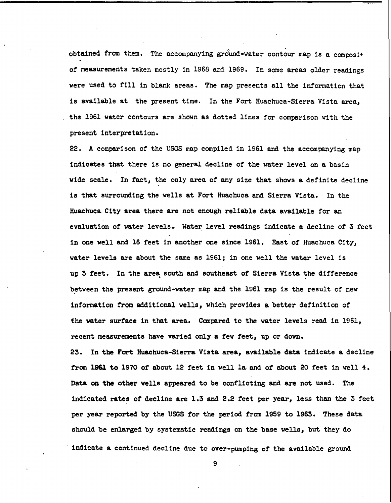obtained from them. The accompanying ground-water contour map is a composit of measurements taken mostly in 1968 and 1969. In some areas older readings were used to fill in blank areas. The map presents all the information that is available at the present time. In the Fort Huachuca-Sierra Vista area, the 1961 water contours are shown as dotted lines for comparison with the present interpretation.

22. A comparison of the USGS map compiled in 1961 and the accompanying map 1nd1cates that there is no general decline of the water level on a basin wide scale. In fact, the only area of any size that shows a definite decline 1s that surround1ng the wells at Fort Huachuca and Sierra Vista. In the Huachuca City area there are not enough reliable data ava11able for an evaluation of water levels. Water level readings 1ndicate a decline of 3 feet in one well and 16 feet in another one since 1961. East of Huachuca City, water levels are about the same as 1961; in one well the water level is up 3 feet. In the area south and southeast of Sierra Vista the difference between the present ground-water map and the 1961 map is the result of new information from additional wells, which provides a better definition of the water surface 1n that area. Canpared to the water levels read in 1961, recent measurements have varied only a few feet, up or down.

23. In the Fort Huachuca-Sierra Vista area, available data indicate a decline from 1961 to 1970 of about 12 feet in well la and of about 20 feet in well 4. Data on the other wells appeared to be conflicting and are not used. The indicated rates *ot* decline are 1.3 and 2.2 teet per year, less than the 3 feet per year reported by the USGS for the period from 1959 to 1963. These data should be enlarged by systematic readings on the base wells, but they do . indicate a continued decline due to over-pumping *ot* the available ground

9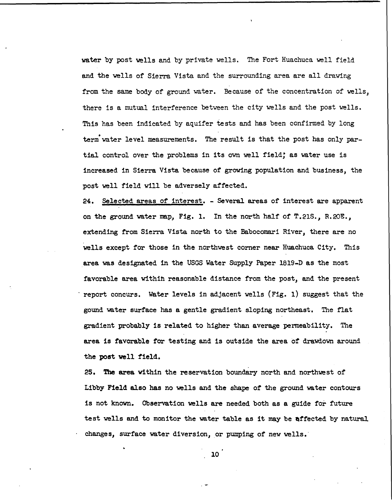water by post wells and by private wells. The Fort Huachuca well field and the wells of Sierra Vista and the surrounding area are all drawing from the same body of ground water. Because of the concentration of wells, there is a mutual interference between the city wells and the post wells. This has been indicated by aquifer tests and has been confirmed by long • term water level measurements. The result is that the post has only partial control over the problems in its own well field; as water use is increased in Sierra Vista because of growing population and business, the post well field will be adversely affected.

24. Selected areas of interest. - Several areas of interest are apparent on the ground water map, Fig. 1. In the north half of T.21S., R.20E., extending from Sierra Vista north to the Babocomari River, there are no wells except for those in the northwest corner near Huachuca City. This area was designated in the USGS Water Supply Paper l819-D as the most favorable area withih reasonable distance from the post, and the present report concurs. Water levels in adjacent wells (Fig. 1) suggest that the gound water surface has a gentle gradient sloping northeast. The flat gradient probably is related to higher than average permeability. The area is favorable for testing and is outside the area of drawdown around the post well field.

25. The area within the reservation boundary north and northwest of Libby Field also has no wells and the shape of the ground water contours is not known. Observation wells are needed both as a guide for future test wells and to monitor the water table as it may be affected by natural changes, surface water diversion, or pumping of new wells.

10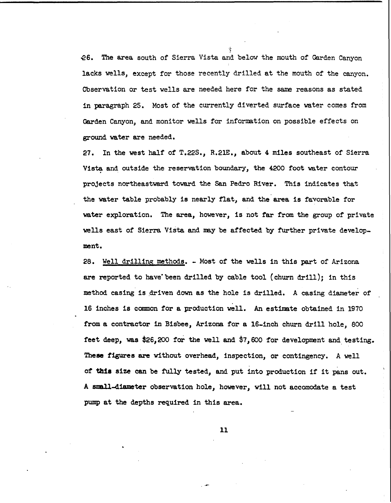~6. The area south of Sierra Vista and below the mouth of Garden Canyon lacks wells, except for those recently drilled at the mouth of the canyon. Observation or test wells are needed here for the same reasons as stated in paragraph 25. Most of the currently diverted surface water comes from Garden Canyon, and monitor wells for information on possible effects on ground water are needed.

.~

27. In the west half of T.22S., R.21E., about 4 miles southeast of Sierra Vista and outside the reservation boundary, the 4200 foot water contour projects northeastward toward the San Pedro River. This indicates that the water table probably is nearly flat, and the area is favorable for water exploration. The area, however, is not far from the group of private wells east of Sierra Vista and may be affected by further private development.

28. Well dr11lins methods. - Most of the wells in this part of Arizona are reported to have been drilled by cable tool (churn drill); in this method casing is driven down as the hole is drilled. A casing diameter of 16 inches is common for a production well. An estimate obtained in 1970 from a contractor in Bisbee, Arizona for a 16-inch churn drill hole, 800 feet deep, was \$26,200 for the well and \$7,600 for development and testing. These tigures are without overhead, inspection, or contingency. A well of this size can be fully tested, and put into production if it pans out. A small-d1ameter observation hole, however, will not accomodate a test pump at the depths required in this area.

11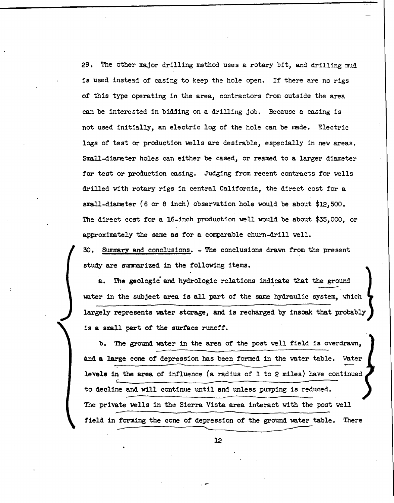29. The other major drilling method uses a rotary bit, and drilling mud is used instead of casing to keep the hole open. If there are no rigs of this type operating in the area, contractors from outside the area can be interested in bidding on a drilling job. Because a casing is not used initially, an electric log of the hole can be made. Electric logs of test or production wells are desirable, especially in new areas. Small-diameter holes can either be cased, or reamed to a larger diameter for test or production casing. Judging from recent contracts for wells drilled with rotary rigs in central California, the direct cost for a small-diameter (6 or 8 inch) observation hole would be about  $$12,500$ . The direct cost for a I6-inch production well would be about \$35,000, or approximately the same as for a comparable churn-drill well.

30. SUmmary and conclusions. - The conclusions drawn from the present study are summarized in the following items.

a. The geologic and hydrologic relations indicate that the ground water in the subject area is all part of the same hydraulic system, which largely represents water storage, and is recharged by insoak that probably is a small part of the surface runoff.

b. The ground water in the area of the post well field is overdrawn, is a small part of the surface runoff.<br>
b. The ground water in the area of the post well field is overdrawn,<br>
and a large cone of depression has been formed in the water table. Water<br>
levels in the area of influence (a rad levels in the area of influence (a radius of 1 to 2 miles) have continued *L\_· \_\_\_\_\_\_ ------------\_\_\_ ------------------------------* to decline and will continue until and unless pumping is reduced. The private wells in the Sierra Vista area interact with the post well field in forming the cone of depression of the ground water table. There -- '-- ------- 12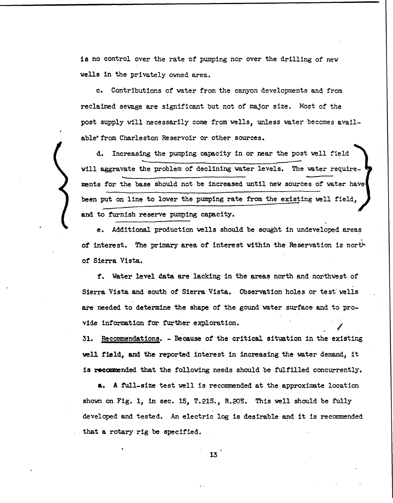is no control over the rate of pumping nor over the drilling of new wells in the privately owned area.

c. Contributions of water from the canyon developments and from reclaimed sewage are significant but not of major size. Most of the post supply will necessarily come from wells, unless water becomes available' from Charleston Reservoir or other sources.

d. Increasing the pumping capacity in or near the post well field ~------------------------------------ will aggravate the problem of declining water levels. The water require- ..... ments for the base should not be increased until new sources of water have been put on line to lower the pumping rate from the existing well field, and to furnish reserve pumping capacity.

e. Additional production wells should be sought in undeveloped areas of interest. The primary area of interest within the Reservation is north of Sierra Vista.

f. Water level data are lacking in the areas north and northwest of Sierra Vista and south of Sierra Vista. Observation holes or test wells are needed to determine the shape of the gound water surface and to provide information for further exploration.

31. Recommendations. - Because of the critical situation in the existing well field, and the reported interest in increasing the water demand, it is recommended that the following needs should be fulfilled concurrently.

a. A full-size test well is recommended at the approximate location shown on Fig. 1, in sec. 15, T.21S., R.20E. This well should be fully developed and tested. An electric log is desirable and it is recommended that a rotary rig be specified.